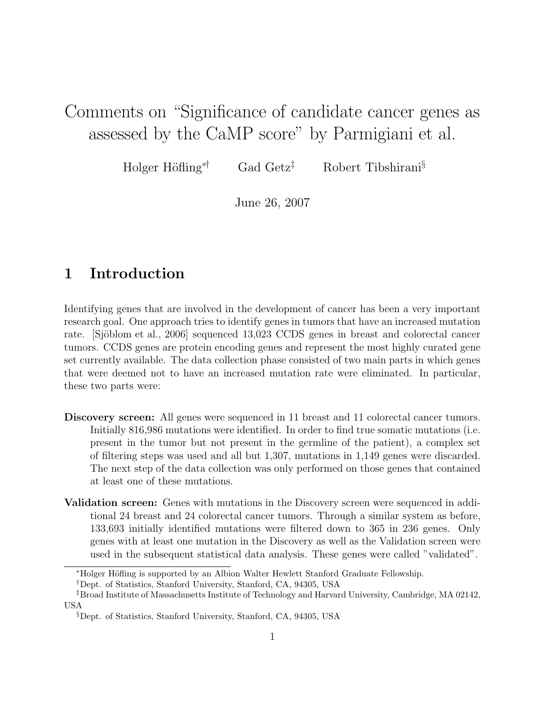# Comments on "Significance of candidate cancer genes as assessed by the CaMP score" by Parmigiani et al.

Holger Höfling<sup>\*†</sup> Gad Getz<sup>‡</sup> Robert Tibshirani<sup>§</sup>

June 26, 2007

## 1 Introduction

Identifying genes that are involved in the development of cancer has been a very important research goal. One approach tries to identify genes in tumors that have an increased mutation rate. [Sjöblom et al., 2006] sequenced 13,023 CCDS genes in breast and colorectal cancer tumors. CCDS genes are protein encoding genes and represent the most highly curated gene set currently available. The data collection phase consisted of two main parts in which genes that were deemed not to have an increased mutation rate were eliminated. In particular, these two parts were:

- Discovery screen: All genes were sequenced in 11 breast and 11 colorectal cancer tumors. Initially 816,986 mutations were identified. In order to find true somatic mutations (i.e. present in the tumor but not present in the germline of the patient), a complex set of filtering steps was used and all but 1,307, mutations in 1,149 genes were discarded. The next step of the data collection was only performed on those genes that contained at least one of these mutations.
- Validation screen: Genes with mutations in the Discovery screen were sequenced in additional 24 breast and 24 colorectal cancer tumors. Through a similar system as before, 133,693 initially identified mutations were filtered down to 365 in 236 genes. Only genes with at least one mutation in the Discovery as well as the Validation screen were used in the subsequent statistical data analysis. These genes were called "validated".

<sup>∗</sup>Holger H¨ofling is supported by an Albion Walter Hewlett Stanford Graduate Fellowship.

<sup>†</sup>Dept. of Statistics, Stanford University, Stanford, CA, 94305, USA

<sup>‡</sup>Broad Institute of Massachusetts Institute of Technology and Harvard University, Cambridge, MA 02142, USA

<sup>§</sup>Dept. of Statistics, Stanford University, Stanford, CA, 94305, USA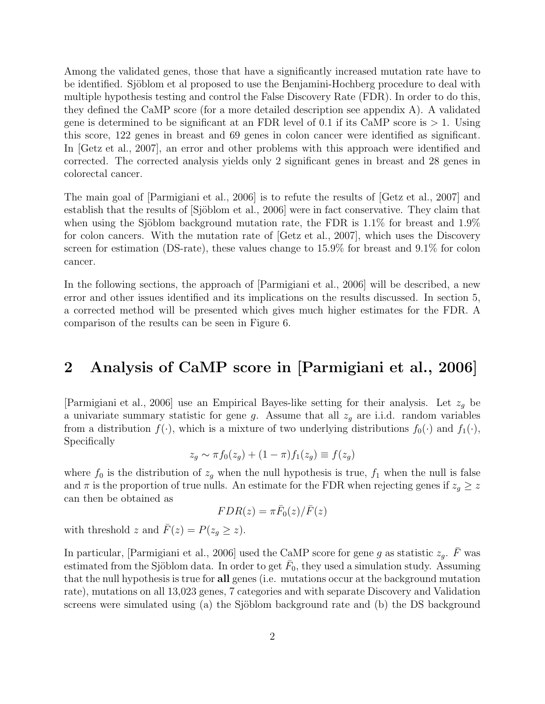Among the validated genes, those that have a significantly increased mutation rate have to be identified. Sjöblom et al proposed to use the Benjamini-Hochberg procedure to deal with multiple hypothesis testing and control the False Discovery Rate (FDR). In order to do this, they defined the CaMP score (for a more detailed description see appendix A). A validated gene is determined to be significant at an FDR level of 0.1 if its CaMP score is  $> 1$ . Using this score, 122 genes in breast and 69 genes in colon cancer were identified as significant. In [Getz et al., 2007], an error and other problems with this approach were identified and corrected. The corrected analysis yields only 2 significant genes in breast and 28 genes in colorectal cancer.

The main goal of [Parmigiani et al., 2006] is to refute the results of [Getz et al., 2007] and establish that the results of [Sjöblom et al., 2006] were in fact conservative. They claim that when using the Sjöblom background mutation rate, the FDR is  $1.1\%$  for breast and  $1.9\%$ for colon cancers. With the mutation rate of [Getz et al., 2007], which uses the Discovery screen for estimation (DS-rate), these values change to 15.9% for breast and 9.1% for colon cancer.

In the following sections, the approach of [Parmigiani et al., 2006] will be described, a new error and other issues identified and its implications on the results discussed. In section 5, a corrected method will be presented which gives much higher estimates for the FDR. A comparison of the results can be seen in Figure 6.

## 2 Analysis of CaMP score in [Parmigiani et al., 2006]

[Parmigiani et al., 2006] use an Empirical Bayes-like setting for their analysis. Let  $z_q$  be a univariate summary statistic for gene g. Assume that all  $z_g$  are i.i.d. random variables from a distribution  $f(\cdot)$ , which is a mixture of two underlying distributions  $f_0(\cdot)$  and  $f_1(\cdot)$ , Specifically

$$
z_g \sim \pi f_0(z_g) + (1 - \pi) f_1(z_g) \equiv f(z_g)
$$

where  $f_0$  is the distribution of  $z_g$  when the null hypothesis is true,  $f_1$  when the null is false and  $\pi$  is the proportion of true nulls. An estimate for the FDR when rejecting genes if  $z_g \geq z$ can then be obtained as

$$
FDR(z) = \pi \bar{F}_0(z)/\bar{F}(z)
$$

with threshold z and  $\bar{F}(z) = P(z_q \geq z)$ .

In particular, [Parmigiani et al., 2006] used the CaMP score for gene g as statistic  $z_g$ .  $\bar{F}$  was estimated from the Sjöblom data. In order to get  $\bar{F}_0$ , they used a simulation study. Assuming that the null hypothesis is true for all genes (i.e. mutations occur at the background mutation rate), mutations on all 13,023 genes, 7 categories and with separate Discovery and Validation screens were simulated using (a) the Sjöblom background rate and (b) the DS background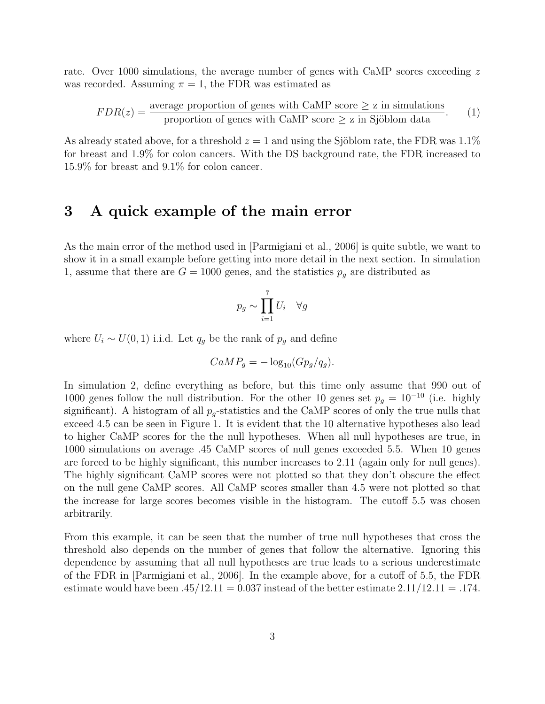rate. Over 1000 simulations, the average number of genes with CaMP scores exceeding z was recorded. Assuming  $\pi = 1$ , the FDR was estimated as

$$
FDR(z) = \frac{\text{average proportion of genes with CaMP score} \ge z \text{ in simulations}}{\text{proportion of genes with CaMP score} \ge z \text{ in Sjöblom data}}.
$$
 (1)

As already stated above, for a threshold  $z = 1$  and using the Sjöblom rate, the FDR was 1.1% for breast and 1.9% for colon cancers. With the DS background rate, the FDR increased to 15.9% for breast and 9.1% for colon cancer.

### 3 A quick example of the main error

As the main error of the method used in [Parmigiani et al., 2006] is quite subtle, we want to show it in a small example before getting into more detail in the next section. In simulation 1, assume that there are  $G = 1000$  genes, and the statistics  $p<sub>g</sub>$  are distributed as

$$
p_g \sim \prod_{i=1}^7 U_i \quad \forall g
$$

where  $U_i \sim U(0, 1)$  i.i.d. Let  $q_g$  be the rank of  $p_g$  and define

$$
CaMP_g = -\log_{10}(Gp_g/q_g).
$$

In simulation 2, define everything as before, but this time only assume that 990 out of 1000 genes follow the null distribution. For the other 10 genes set  $p_g = 10^{-10}$  (i.e. highly significant). A histogram of all  $p_g$ -statistics and the CaMP scores of only the true nulls that exceed 4.5 can be seen in Figure 1. It is evident that the 10 alternative hypotheses also lead to higher CaMP scores for the the null hypotheses. When all null hypotheses are true, in 1000 simulations on average .45 CaMP scores of null genes exceeded 5.5. When 10 genes are forced to be highly significant, this number increases to 2.11 (again only for null genes). The highly significant CaMP scores were not plotted so that they don't obscure the effect on the null gene CaMP scores. All CaMP scores smaller than 4.5 were not plotted so that the increase for large scores becomes visible in the histogram. The cutoff 5.5 was chosen arbitrarily.

From this example, it can be seen that the number of true null hypotheses that cross the threshold also depends on the number of genes that follow the alternative. Ignoring this dependence by assuming that all null hypotheses are true leads to a serious underestimate of the FDR in [Parmigiani et al., 2006]. In the example above, for a cutoff of 5.5, the FDR estimate would have been  $.45/12.11 = 0.037$  instead of the better estimate  $2.11/12.11 = .174$ .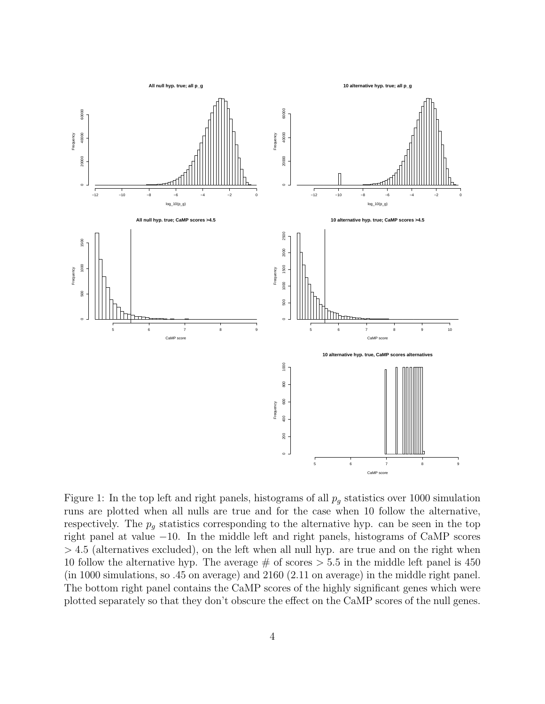

Figure 1: In the top left and right panels, histograms of all  $p<sub>q</sub>$  statistics over 1000 simulation runs are plotted when all nulls are true and for the case when 10 follow the alternative, respectively. The  $p_g$  statistics corresponding to the alternative hyp. can be seen in the top right panel at value −10. In the middle left and right panels, histograms of CaMP scores  $> 4.5$  (alternatives excluded), on the left when all null hyp. are true and on the right when 10 follow the alternative hyp. The average  $\#$  of scores  $> 5.5$  in the middle left panel is 450 (in 1000 simulations, so .45 on average) and 2160 (2.11 on average) in the middle right panel. The bottom right panel contains the CaMP scores of the highly significant genes which were plotted separately so that they don't obscure the effect on the CaMP scores of the null genes.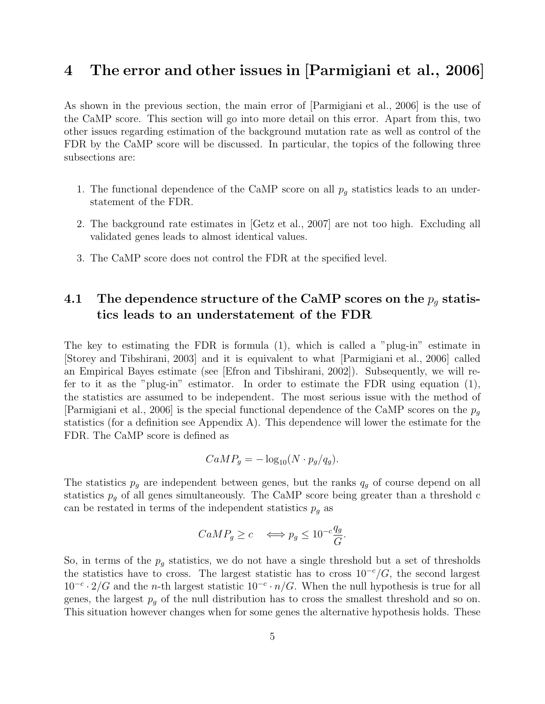## 4 The error and other issues in [Parmigiani et al., 2006]

As shown in the previous section, the main error of [Parmigiani et al., 2006] is the use of the CaMP score. This section will go into more detail on this error. Apart from this, two other issues regarding estimation of the background mutation rate as well as control of the FDR by the CaMP score will be discussed. In particular, the topics of the following three subsections are:

- 1. The functional dependence of the CaMP score on all  $p<sub>g</sub>$  statistics leads to an understatement of the FDR.
- 2. The background rate estimates in [Getz et al., 2007] are not too high. Excluding all validated genes leads to almost identical values.
- 3. The CaMP score does not control the FDR at the specified level.

### 4.1 The dependence structure of the CaMP scores on the  $p_g$  statistics leads to an understatement of the FDR

The key to estimating the FDR is formula (1), which is called a "plug-in" estimate in [Storey and Tibshirani, 2003] and it is equivalent to what [Parmigiani et al., 2006] called an Empirical Bayes estimate (see [Efron and Tibshirani, 2002]). Subsequently, we will refer to it as the "plug-in" estimator. In order to estimate the FDR using equation (1), the statistics are assumed to be independent. The most serious issue with the method of [Parmigiani et al., 2006] is the special functional dependence of the CaMP scores on the  $p_q$ statistics (for a definition see Appendix A). This dependence will lower the estimate for the FDR. The CaMP score is defined as

$$
CaMP_g = -\log_{10}(N \cdot p_g/q_g).
$$

The statistics  $p_g$  are independent between genes, but the ranks  $q_g$  of course depend on all statistics  $p_q$  of all genes simultaneously. The CaMP score being greater than a threshold c can be restated in terms of the independent statistics  $p<sub>g</sub>$  as

$$
CaMP_g \ge c \iff p_g \le 10^{-c} \frac{q_g}{G}.
$$

So, in terms of the  $p<sub>g</sub>$  statistics, we do not have a single threshold but a set of thresholds the statistics have to cross. The largest statistic has to cross  $10^{-c}/G$ , the second largest  $10^{-c} \cdot 2/G$  and the n-th largest statistic  $10^{-c} \cdot n/G$ . When the null hypothesis is true for all genes, the largest  $p<sub>g</sub>$  of the null distribution has to cross the smallest threshold and so on. This situation however changes when for some genes the alternative hypothesis holds. These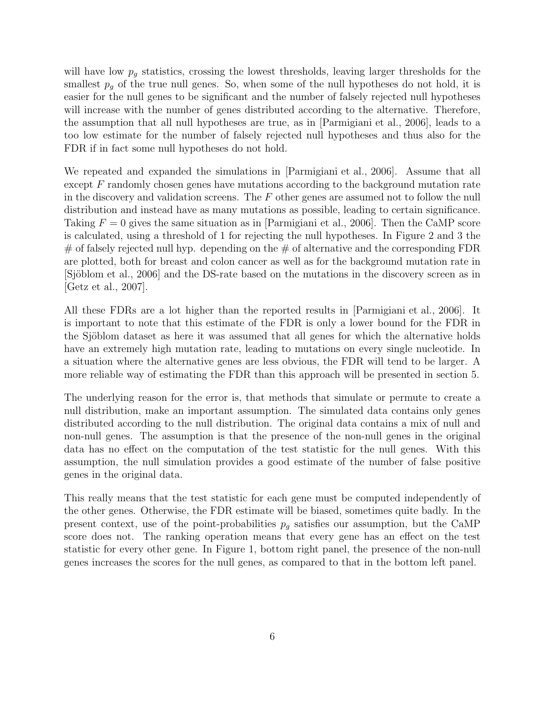will have low  $p<sub>g</sub>$  statistics, crossing the lowest thresholds, leaving larger thresholds for the smallest  $p<sub>g</sub>$  of the true null genes. So, when some of the null hypotheses do not hold, it is easier for the null genes to be significant and the number of falsely rejected null hypotheses will increase with the number of genes distributed according to the alternative. Therefore, the assumption that all null hypotheses are true, as in [Parmigiani et al., 2006], leads to a too low estimate for the number of falsely rejected null hypotheses and thus also for the FDR if in fact some null hypotheses do not hold.

We repeated and expanded the simulations in [Parmigiani et al., 2006]. Assume that all except  $F$  randomly chosen genes have mutations according to the background mutation rate in the discovery and validation screens. The  $F$  other genes are assumed not to follow the null distribution and instead have as many mutations as possible, leading to certain significance. Taking  $F = 0$  gives the same situation as in [Parmigiani et al., 2006]. Then the CaMP score is calculated, using a threshold of 1 for rejecting the null hypotheses. In Figure 2 and 3 the  $#$  of falsely rejected null hyp. depending on the  $#$  of alternative and the corresponding FDR are plotted, both for breast and colon cancer as well as for the background mutation rate in [Sjöblom et al., 2006] and the DS-rate based on the mutations in the discovery screen as in [Getz et al., 2007].

All these FDRs are a lot higher than the reported results in [Parmigiani et al., 2006]. It is important to note that this estimate of the FDR is only a lower bound for the FDR in the Sjöblom dataset as here it was assumed that all genes for which the alternative holds have an extremely high mutation rate, leading to mutations on every single nucleotide. In a situation where the alternative genes are less obvious, the FDR will tend to be larger. A more reliable way of estimating the FDR than this approach will be presented in section 5.

The underlying reason for the error is, that methods that simulate or permute to create a null distribution, make an important assumption. The simulated data contains only genes distributed according to the null distribution. The original data contains a mix of null and non-null genes. The assumption is that the presence of the non-null genes in the original data has no effect on the computation of the test statistic for the null genes. With this assumption, the null simulation provides a good estimate of the number of false positive genes in the original data.

This really means that the test statistic for each gene must be computed independently of the other genes. Otherwise, the FDR estimate will be biased, sometimes quite badly. In the present context, use of the point-probabilities  $p_q$  satisfies our assumption, but the CaMP score does not. The ranking operation means that every gene has an effect on the test statistic for every other gene. In Figure 1, bottom right panel, the presence of the non-null genes increases the scores for the null genes, as compared to that in the bottom left panel.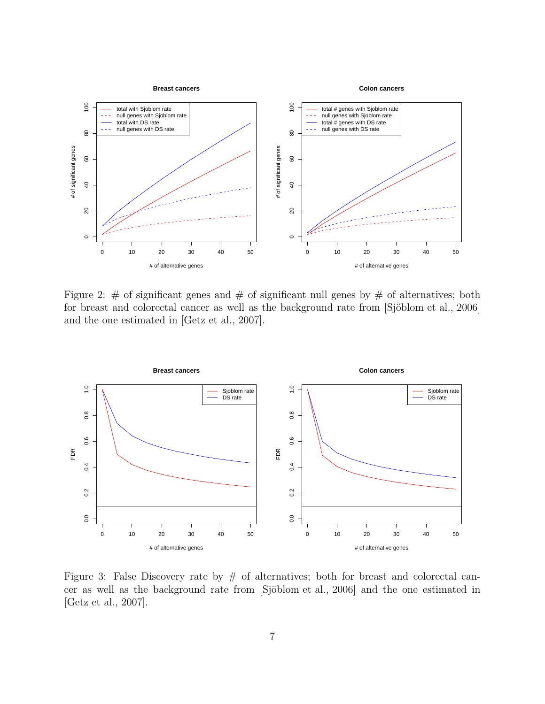

Figure 2:  $\#$  of significant genes and  $\#$  of significant null genes by  $\#$  of alternatives; both for breast and colorectal cancer as well as the background rate from [Sjöblom et al., 2006] and the one estimated in [Getz et al., 2007].



Figure 3: False Discovery rate by  $#$  of alternatives; both for breast and colorectal cancer as well as the background rate from [Sjöblom et al., 2006] and the one estimated in [Getz et al., 2007].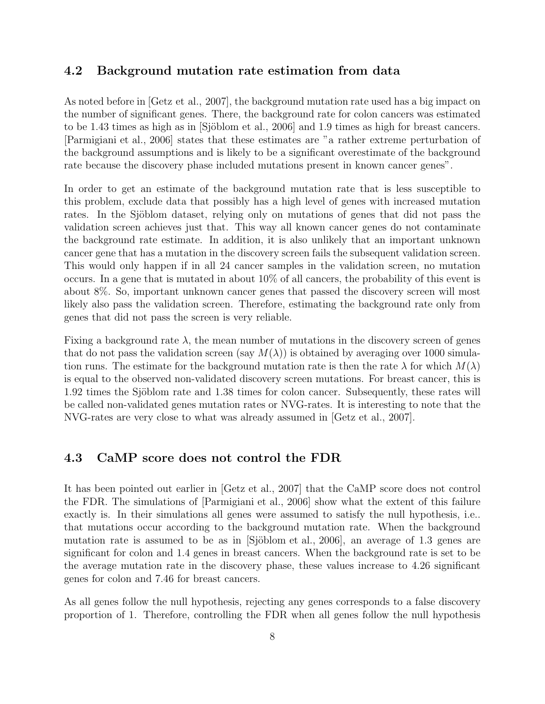#### 4.2 Background mutation rate estimation from data

As noted before in [Getz et al., 2007], the background mutation rate used has a big impact on the number of significant genes. There, the background rate for colon cancers was estimated to be 1.43 times as high as in [Sjöblom et al., 2006] and 1.9 times as high for breast cancers. [Parmigiani et al., 2006] states that these estimates are "a rather extreme perturbation of the background assumptions and is likely to be a significant overestimate of the background rate because the discovery phase included mutations present in known cancer genes".

In order to get an estimate of the background mutation rate that is less susceptible to this problem, exclude data that possibly has a high level of genes with increased mutation rates. In the Sjöblom dataset, relying only on mutations of genes that did not pass the validation screen achieves just that. This way all known cancer genes do not contaminate the background rate estimate. In addition, it is also unlikely that an important unknown cancer gene that has a mutation in the discovery screen fails the subsequent validation screen. This would only happen if in all 24 cancer samples in the validation screen, no mutation occurs. In a gene that is mutated in about 10% of all cancers, the probability of this event is about 8%. So, important unknown cancer genes that passed the discovery screen will most likely also pass the validation screen. Therefore, estimating the background rate only from genes that did not pass the screen is very reliable.

Fixing a background rate  $\lambda$ , the mean number of mutations in the discovery screen of genes that do not pass the validation screen (say  $M(\lambda)$ ) is obtained by averaging over 1000 simulation runs. The estimate for the background mutation rate is then the rate  $\lambda$  for which  $M(\lambda)$ is equal to the observed non-validated discovery screen mutations. For breast cancer, this is 1.92 times the Sjöblom rate and 1.38 times for colon cancer. Subsequently, these rates will be called non-validated genes mutation rates or NVG-rates. It is interesting to note that the NVG-rates are very close to what was already assumed in [Getz et al., 2007].

#### 4.3 CaMP score does not control the FDR

It has been pointed out earlier in [Getz et al., 2007] that the CaMP score does not control the FDR. The simulations of [Parmigiani et al., 2006] show what the extent of this failure exactly is. In their simulations all genes were assumed to satisfy the null hypothesis, i.e.. that mutations occur according to the background mutation rate. When the background mutation rate is assumed to be as in [Sjöblom et al., 2006], an average of 1.3 genes are significant for colon and 1.4 genes in breast cancers. When the background rate is set to be the average mutation rate in the discovery phase, these values increase to 4.26 significant genes for colon and 7.46 for breast cancers.

As all genes follow the null hypothesis, rejecting any genes corresponds to a false discovery proportion of 1. Therefore, controlling the FDR when all genes follow the null hypothesis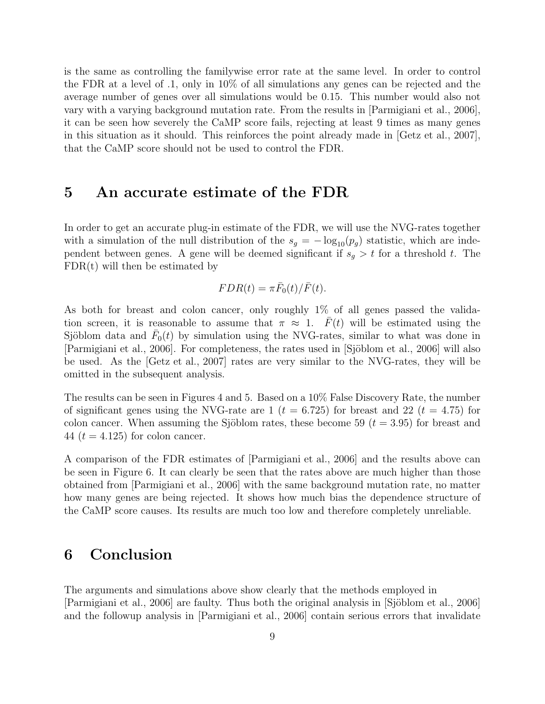is the same as controlling the familywise error rate at the same level. In order to control the FDR at a level of .1, only in 10% of all simulations any genes can be rejected and the average number of genes over all simulations would be 0.15. This number would also not vary with a varying background mutation rate. From the results in [Parmigiani et al., 2006], it can be seen how severely the CaMP score fails, rejecting at least 9 times as many genes in this situation as it should. This reinforces the point already made in [Getz et al., 2007], that the CaMP score should not be used to control the FDR.

### 5 An accurate estimate of the FDR

In order to get an accurate plug-in estimate of the FDR, we will use the NVG-rates together with a simulation of the null distribution of the  $s_g = -\log_{10}(p_g)$  statistic, which are independent between genes. A gene will be deemed significant if  $s_g > t$  for a threshold t. The  $FDR(t)$  will then be estimated by

$$
FDR(t) = \pi \bar{F}_0(t)/\bar{F}(t).
$$

As both for breast and colon cancer, only roughly 1% of all genes passed the validation screen, it is reasonable to assume that  $\pi \approx 1$ .  $\bar{F}(t)$  will be estimated using the Sjöblom data and  $\bar{F}_0(t)$  by simulation using the NVG-rates, similar to what was done in [Parmigiani et al., 2006]. For completeness, the rates used in [Sjöblom et al., 2006] will also be used. As the [Getz et al., 2007] rates are very similar to the NVG-rates, they will be omitted in the subsequent analysis.

The results can be seen in Figures 4 and 5. Based on a 10% False Discovery Rate, the number of significant genes using the NVG-rate are 1 ( $t = 6.725$ ) for breast and 22 ( $t = 4.75$ ) for colon cancer. When assuming the Sjöblom rates, these become 59 ( $t = 3.95$ ) for breast and 44 ( $t = 4.125$ ) for colon cancer.

A comparison of the FDR estimates of [Parmigiani et al., 2006] and the results above can be seen in Figure 6. It can clearly be seen that the rates above are much higher than those obtained from [Parmigiani et al., 2006] with the same background mutation rate, no matter how many genes are being rejected. It shows how much bias the dependence structure of the CaMP score causes. Its results are much too low and therefore completely unreliable.

## 6 Conclusion

The arguments and simulations above show clearly that the methods employed in [Parmigiani et al., 2006] are faulty. Thus both the original analysis in [Sjöblom et al., 2006] and the followup analysis in [Parmigiani et al., 2006] contain serious errors that invalidate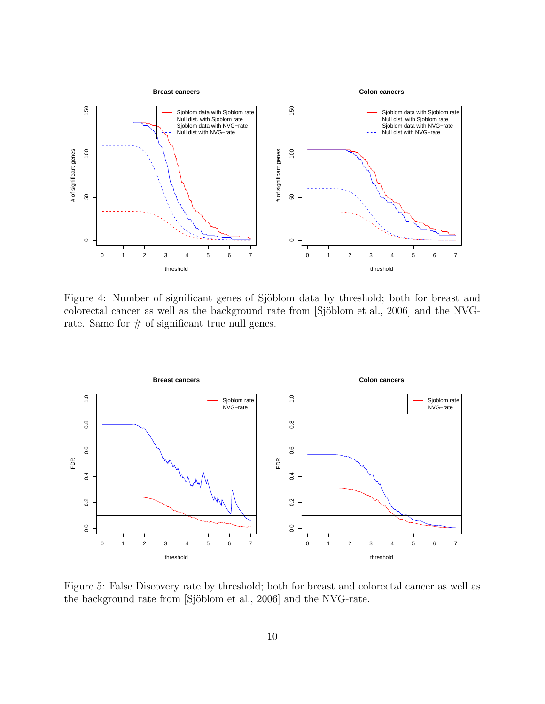

Figure 4: Number of significant genes of Sjöblom data by threshold; both for breast and colorectal cancer as well as the background rate from [Sjöblom et al., 2006] and the NVGrate. Same for  $\#$  of significant true null genes.



Figure 5: False Discovery rate by threshold; both for breast and colorectal cancer as well as the background rate from [Sjöblom et al., 2006] and the NVG-rate.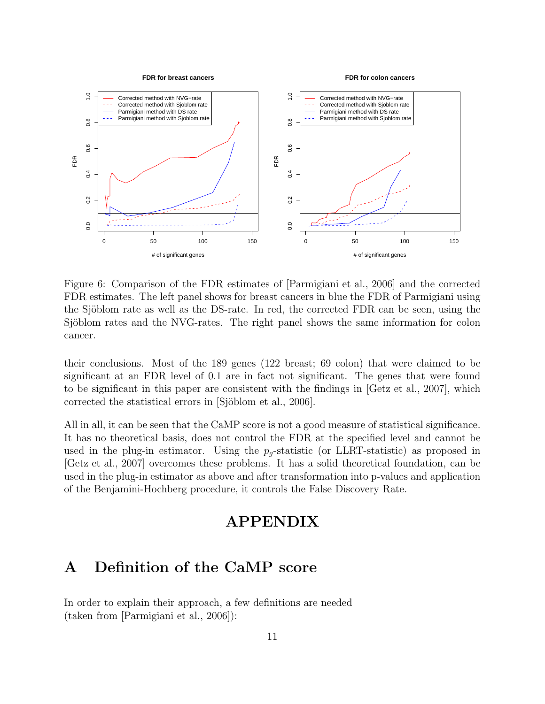

Figure 6: Comparison of the FDR estimates of [Parmigiani et al., 2006] and the corrected FDR estimates. The left panel shows for breast cancers in blue the FDR of Parmigiani using the Sjöblom rate as well as the DS-rate. In red, the corrected FDR can be seen, using the Sjöblom rates and the NVG-rates. The right panel shows the same information for colon cancer.

their conclusions. Most of the 189 genes (122 breast; 69 colon) that were claimed to be significant at an FDR level of 0.1 are in fact not significant. The genes that were found to be significant in this paper are consistent with the findings in [Getz et al., 2007], which corrected the statistical errors in [Sjöblom et al., 2006].

All in all, it can be seen that the CaMP score is not a good measure of statistical significance. It has no theoretical basis, does not control the FDR at the specified level and cannot be used in the plug-in estimator. Using the  $p_q$ -statistic (or LLRT-statistic) as proposed in [Getz et al., 2007] overcomes these problems. It has a solid theoretical foundation, can be used in the plug-in estimator as above and after transformation into p-values and application of the Benjamini-Hochberg procedure, it controls the False Discovery Rate.

## APPENDIX

## A Definition of the CaMP score

In order to explain their approach, a few definitions are needed (taken from [Parmigiani et al., 2006]):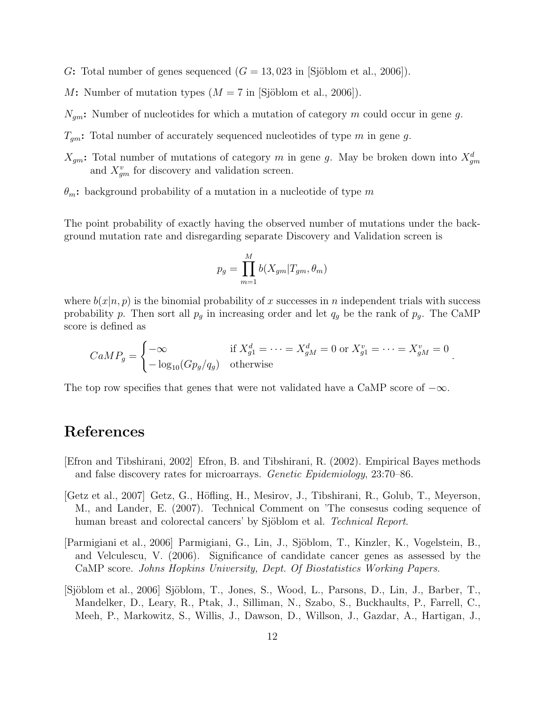- G: Total number of genes sequenced  $(G = 13,023$  in [Sjöblom et al., 2006]).
- M: Number of mutation types  $(M = 7$  in [Sjöblom et al., 2006]).
- $N_{gm}$ : Number of nucleotides for which a mutation of category m could occur in gene g.
- $T_{qm}$ : Total number of accurately sequenced nucleotides of type m in gene g.
- $X_{gm}$ : Total number of mutations of category m in gene g. May be broken down into  $X_{gm}^d$ and  $X_{gm}^v$  for discovery and validation screen.
- $\theta_m$ : background probability of a mutation in a nucleotide of type m

The point probability of exactly having the observed number of mutations under the background mutation rate and disregarding separate Discovery and Validation screen is

$$
p_g = \prod_{m=1}^{M} b(X_{gm} | T_{gm}, \theta_m)
$$

where  $b(x|n, p)$  is the binomial probability of x successes in n independent trials with success probability p. Then sort all  $p<sub>g</sub>$  in increasing order and let  $q<sub>g</sub>$  be the rank of  $p<sub>g</sub>$ . The CaMP score is defined as

$$
CaMP_g = \begin{cases} -\infty & \text{if } X_{g1}^d = \dots = X_{gM}^d = 0 \text{ or } X_{g1}^v = \dots = X_{gM}^v = 0\\ -\log_{10}(Gp_g/q_g) & \text{otherwise} \end{cases}
$$

.

The top row specifies that genes that were not validated have a CaMP score of  $-\infty$ .

## References

- [Efron and Tibshirani, 2002] Efron, B. and Tibshirani, R. (2002). Empirical Bayes methods and false discovery rates for microarrays. Genetic Epidemiology, 23:70–86.
- [Getz et al., 2007] Getz, G., Höfling, H., Mesirov, J., Tibshirani, R., Golub, T., Meyerson, M., and Lander, E. (2007). Technical Comment on 'The consesus coding sequence of human breast and colorectal cancers' by Sjöblom et al. *Technical Report*.
- [Parmigiani et al., 2006] Parmigiani, G., Lin, J., Sjöblom, T., Kinzler, K., Vogelstein, B., and Velculescu, V. (2006). Significance of candidate cancer genes as assessed by the CaMP score. Johns Hopkins University, Dept. Of Biostatistics Working Papers.
- [Sjöblom et al., 2006] Sjöblom, T., Jones, S., Wood, L., Parsons, D., Lin, J., Barber, T., Mandelker, D., Leary, R., Ptak, J., Silliman, N., Szabo, S., Buckhaults, P., Farrell, C., Meeh, P., Markowitz, S., Willis, J., Dawson, D., Willson, J., Gazdar, A., Hartigan, J.,